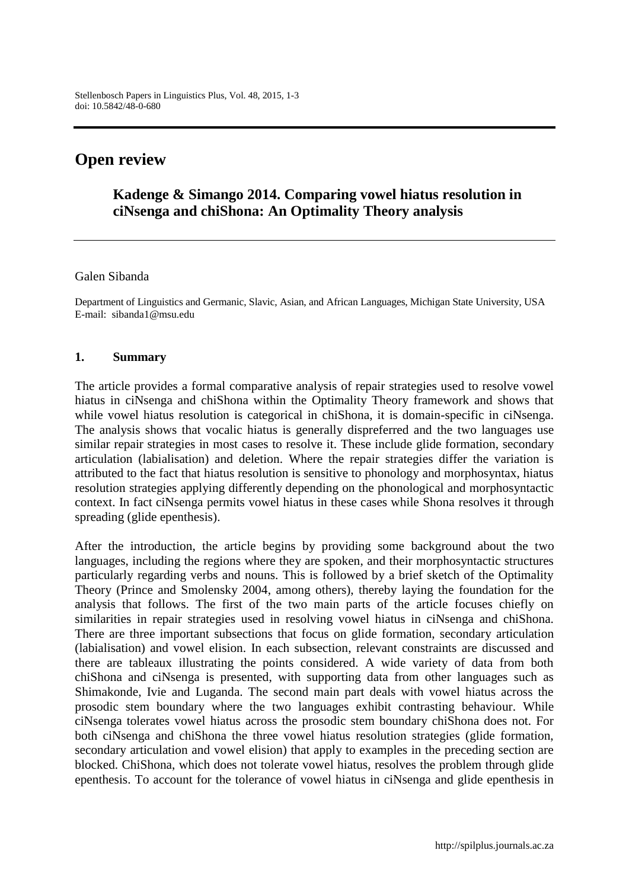# **Open review**

## **Kadenge & Simango 2014. Comparing vowel hiatus resolution in ciNsenga and chiShona: An Optimality Theory analysis**

#### Galen Sibanda

Department of Linguistics and Germanic, Slavic, Asian, and African Languages, Michigan State University, USA E-mail: sibanda1@msu.edu

#### **1. Summary**

The article provides a formal comparative analysis of repair strategies used to resolve vowel hiatus in ciNsenga and chiShona within the Optimality Theory framework and shows that while vowel hiatus resolution is categorical in chiShona, it is domain-specific in ciNsenga. The analysis shows that vocalic hiatus is generally dispreferred and the two languages use similar repair strategies in most cases to resolve it. These include glide formation, secondary articulation (labialisation) and deletion. Where the repair strategies differ the variation is attributed to the fact that hiatus resolution is sensitive to phonology and morphosyntax, hiatus resolution strategies applying differently depending on the phonological and morphosyntactic context. In fact ciNsenga permits vowel hiatus in these cases while Shona resolves it through spreading (glide epenthesis).

After the introduction, the article begins by providing some background about the two languages, including the regions where they are spoken, and their morphosyntactic structures particularly regarding verbs and nouns. This is followed by a brief sketch of the Optimality Theory (Prince and Smolensky 2004, among others), thereby laying the foundation for the analysis that follows. The first of the two main parts of the article focuses chiefly on similarities in repair strategies used in resolving vowel hiatus in ciNsenga and chiShona. There are three important subsections that focus on glide formation, secondary articulation (labialisation) and vowel elision. In each subsection, relevant constraints are discussed and there are tableaux illustrating the points considered. A wide variety of data from both chiShona and ciNsenga is presented, with supporting data from other languages such as Shimakonde, Ivie and Luganda. The second main part deals with vowel hiatus across the prosodic stem boundary where the two languages exhibit contrasting behaviour. While ciNsenga tolerates vowel hiatus across the prosodic stem boundary chiShona does not. For both ciNsenga and chiShona the three vowel hiatus resolution strategies (glide formation, secondary articulation and vowel elision) that apply to examples in the preceding section are blocked. ChiShona, which does not tolerate vowel hiatus, resolves the problem through glide epenthesis. To account for the tolerance of vowel hiatus in ciNsenga and glide epenthesis in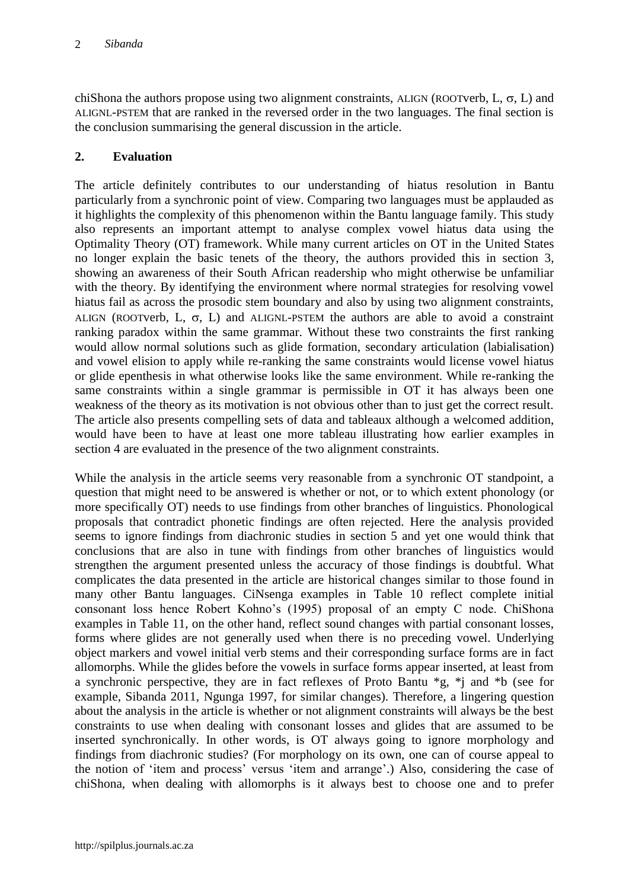chiShona the authors propose using two alignment constraints, ALIGN (ROOTverb,  $L, \sigma, L$ ) and ALIGNL-PSTEM that are ranked in the reversed order in the two languages. The final section is the conclusion summarising the general discussion in the article.

### **2. Evaluation**

The article definitely contributes to our understanding of hiatus resolution in Bantu particularly from a synchronic point of view. Comparing two languages must be applauded as it highlights the complexity of this phenomenon within the Bantu language family. This study also represents an important attempt to analyse complex vowel hiatus data using the Optimality Theory (OT) framework. While many current articles on OT in the United States no longer explain the basic tenets of the theory, the authors provided this in section 3, showing an awareness of their South African readership who might otherwise be unfamiliar with the theory. By identifying the environment where normal strategies for resolving vowel hiatus fail as across the prosodic stem boundary and also by using two alignment constraints, ALIGN (ROOTverb, L,  $\sigma$ , L) and ALIGNL-PSTEM the authors are able to avoid a constraint ranking paradox within the same grammar. Without these two constraints the first ranking would allow normal solutions such as glide formation, secondary articulation (labialisation) and vowel elision to apply while re-ranking the same constraints would license vowel hiatus or glide epenthesis in what otherwise looks like the same environment. While re-ranking the same constraints within a single grammar is permissible in OT it has always been one weakness of the theory as its motivation is not obvious other than to just get the correct result. The article also presents compelling sets of data and tableaux although a welcomed addition, would have been to have at least one more tableau illustrating how earlier examples in section 4 are evaluated in the presence of the two alignment constraints.

While the analysis in the article seems very reasonable from a synchronic OT standpoint, a question that might need to be answered is whether or not, or to which extent phonology (or more specifically OT) needs to use findings from other branches of linguistics. Phonological proposals that contradict phonetic findings are often rejected. Here the analysis provided seems to ignore findings from diachronic studies in section 5 and yet one would think that conclusions that are also in tune with findings from other branches of linguistics would strengthen the argument presented unless the accuracy of those findings is doubtful. What complicates the data presented in the article are historical changes similar to those found in many other Bantu languages. CiNsenga examples in Table 10 reflect complete initial consonant loss hence Robert Kohno's (1995) proposal of an empty C node. ChiShona examples in Table 11, on the other hand, reflect sound changes with partial consonant losses, forms where glides are not generally used when there is no preceding vowel. Underlying object markers and vowel initial verb stems and their corresponding surface forms are in fact allomorphs. While the glides before the vowels in surface forms appear inserted, at least from a synchronic perspective, they are in fact reflexes of Proto Bantu \*g, \*j and \*b (see for example, Sibanda 2011, Ngunga 1997, for similar changes). Therefore, a lingering question about the analysis in the article is whether or not alignment constraints will always be the best constraints to use when dealing with consonant losses and glides that are assumed to be inserted synchronically. In other words, is OT always going to ignore morphology and findings from diachronic studies? (For morphology on its own, one can of course appeal to the notion of 'item and process' versus 'item and arrange'.) Also, considering the case of chiShona, when dealing with allomorphs is it always best to choose one and to prefer